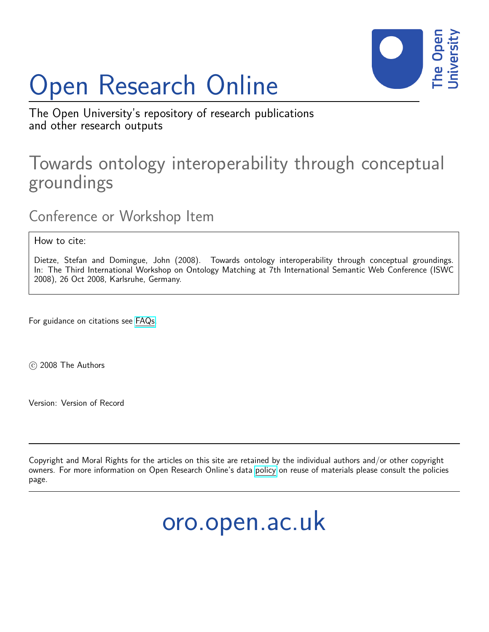# Open Research Online



The Open University's repository of research publications and other research outputs

### Towards ontology interoperability through conceptual groundings

Conference or Workshop Item

How to cite:

Dietze, Stefan and Domingue, John (2008). Towards ontology interoperability through conceptual groundings. In: The Third International Workshop on Ontology Matching at 7th International Semantic Web Conference (ISWC 2008), 26 Oct 2008, Karlsruhe, Germany.

For guidance on citations see [FAQs.](http://oro.open.ac.uk/help/helpfaq.html)

c 2008 The Authors

Version: Version of Record

Copyright and Moral Rights for the articles on this site are retained by the individual authors and/or other copyright owners. For more information on Open Research Online's data [policy](http://oro.open.ac.uk/policies.html) on reuse of materials please consult the policies page.

## oro.open.ac.uk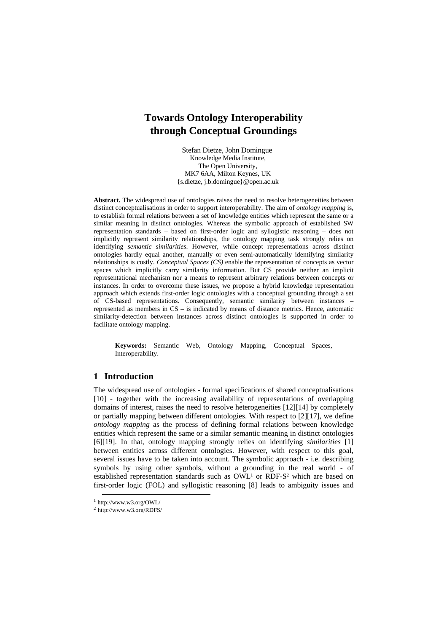#### **Towards Ontology Interoperability through Conceptual Groundings**

Stefan Dietze, John Domingue Knowledge Media Institute, The Open University, MK7 6AA, Milton Keynes, UK {s.dietze, j.b.domingue}@open.ac.uk

**Abstract.** The widespread use of ontologies raises the need to resolve heterogeneities between distinct conceptualisations in order to support interoperability. The aim of *ontology mapping* is, to establish formal relations between a set of knowledge entities which represent the same or a similar meaning in distinct ontologies. Whereas the symbolic approach of established SW representation standards – based on first-order logic and syllogistic reasoning – does not implicitly represent similarity relationships, the ontology mapping task strongly relies on identifying *semantic similarities*. However, while concept representations across distinct ontologies hardly equal another, manually or even semi-automatically identifying similarity relationships is costly. *Conceptual Spaces (CS)* enable the representation of concepts as vector spaces which implicitly carry similarity information. But CS provide neither an implicit representational mechanism nor a means to represent arbitrary relations between concepts or instances. In order to overcome these issues, we propose a hybrid knowledge representation approach which extends first-order logic ontologies with a conceptual grounding through a set of CS-based representations. Consequently, semantic similarity between instances – represented as members in CS – is indicated by means of distance metrics. Hence, automatic similarity-detection between instances across distinct ontologies is supported in order to facilitate ontology mapping.

**Keywords:** Semantic Web, Ontology Mapping, Conceptual Spaces, Interoperability.

#### **1 Introduction**

The widespread use of ontologies - formal specifications of shared conceptualisations [10] - together with the increasing availability of representations of overlapping domains of interest, raises the need to resolve heterogeneities [12][14] by completely or partially mapping between different ontologies. With respect to [2] [17], we define *ontology mapping* as the process of defining formal relations between knowledge entities which represent the same or a similar semantic meaning in distinct ontologies [6] [19]. In that, ontology mapping strongly relies on identifying *similarities* [1] between entities across different ontologies. However, with respect to this goal, several issues have to be taken into account. The symbolic approach - i.e. describing symbols by using other symbols, without a grounding in the real world - of established representation standards such as OWL<sup>1</sup> or RDF-S<sup>2</sup> which are based on first-order logic (FOL) and syllogistic reasoning [8] leads to ambiguity issues and

 <sup>1</sup> http://www.w3.org/OWL/

<sup>2</sup> http://www.w3.org/RDFS/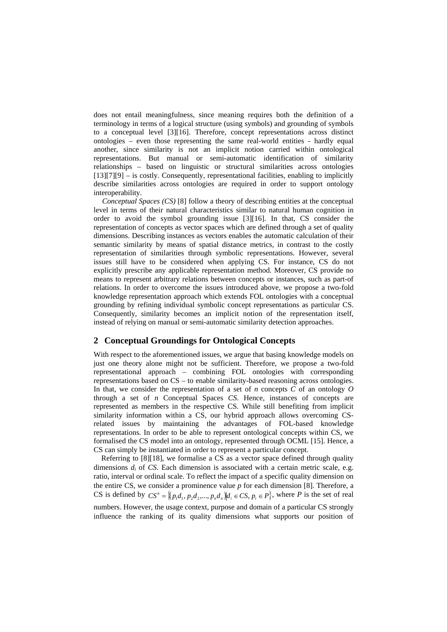does not entail meaningfulness, since meaning requires both the definition of a terminology in terms of a logical structure (using symbols) and grounding of symbols to a conceptual level  $[3][16]$ . Therefore, concept representations across distinct ontologies – even those representing the same real-world entities - hardly equal another, since similarity is not an implicit notion carried within ontological representations. But manual or semi-automatic identification of similarity relationships – based on linguistic or structural similarities across ontologies [13] [7] [9] – is costly. Consequently, representational facilities, enabling to implicitly describe similarities across ontologies are required in order to support ontology interoperability.

*Conceptual Spaces (CS)* [8] follow a theory of describing entities at the conceptual level in terms of their natural characteristics similar to natural human cognition in order to avoid the symbol grounding issue  $\lceil 3 \rceil \lceil 16 \rceil$ . In that, CS consider the representation of concepts as vector spaces which are defined through a set of quality dimensions. Describing instances as vectors enables the automatic calculation of their semantic similarity by means of spatial distance metrics, in contrast to the costly representation of similarities through symbolic representations. However, several issues still have to be considered when applying CS. For instance, CS do not explicitly prescribe any applicable representation method. Moreover, CS provide no means to represent arbitrary relations between concepts or instances, such as part-of relations. In order to overcome the issues introduced above, we propose a two-fold knowledge representation approach which extends FOL ontologies with a conceptual grounding by refining individual symbolic concept representations as particular CS. Consequently, similarity becomes an implicit notion of the representation itself, instead of relying on manual or semi-automatic similarity detection approaches.

#### **2 Conceptual Groundings for Ontological Concepts**

With respect to the aforementioned issues, we argue that basing knowledge models on just one theory alone might not be sufficient. Therefore, we propose a two-fold representational approach – combining FOL ontologies with corresponding representations based on CS – to enable similarity-based reasoning across ontologies. In that, we consider the representation of a set of  $n$  concepts  $C$  of an ontology  $O$ through a set of *n* Conceptual Spaces *CS*. Hence, instances of concepts are represented as members in the respective CS. While still benefiting from implicit similarity information within a CS, our hybrid approach allows overcoming CSrelated issues by maintaining the advantages of FOL-based knowledge representations. In order to be able to represent ontological concepts within CS, we formalised the CS model into an ontology, represented through OCML [15]. Hence, a CS can simply be instantiated in order to represent a particular concept.

Referring to [8] [18], we formalise a CS as a vector space defined through quality dimensions *di* of *CS*. Each dimension is associated with a certain metric scale, e.g. ratio, interval or ordinal scale. To reflect the impact of a specific quality dimension on the entire CS, we consider a prominence value  $p$  for each dimension [8]. Therefore, a *CS* is defined by  $CS^n = \{(p_1d_1, p_2d_2, ..., p_nd_n)|d_i \in CS, p_i \in P\}$ , where *P* is the set of real numbers. However, the usage context, purpose and domain of a particular CS strongly influence the ranking of its quality dimensions what supports our position of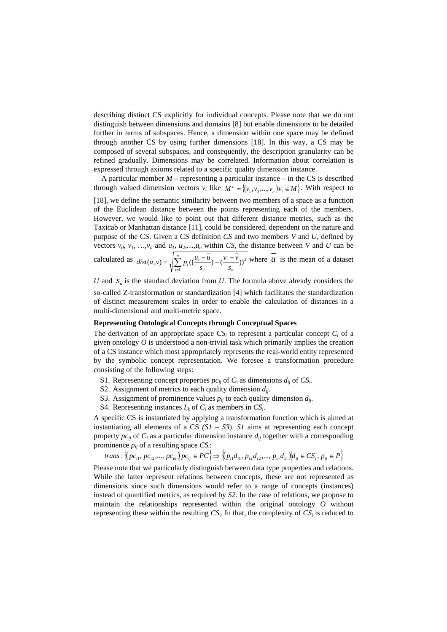describing distinct CS explicitly for individual concepts. Please note that we do not distinguish between dimensions and domains [8] but enable dimensions to be detailed further in terms of subspaces. Hence, a dimension within one space may be defined through another CS by using further dimensions [18]. In this way, a CS may be composed of several subspaces, and consequently, the description granularity can be refined gradually. Dimensions may be correlated. Information about correlation is expressed through axioms related to a specific quality dimension instance.

A particular member  $M$  – representing a particular instance – in the CS is described through valued dimension vectors  $v_i$  like  $M^n = \{(v_1, v_2, ..., v_n) | v_i \in M\}$ . With respect to [18], we define the semantic similarity between two members of a space as a function of the Euclidean distance between the points representing each of the members. However, we would like to point out that different distance metrics, such as the Taxicab or Manhattan distance [11], could be considered, dependent on the nature and purpose of the CS. Given a CS definition *CS* and two members *V* and *U*, defined by vectors  $v_0$ ,  $v_1$ , ...,  $v_n$  and  $u_1$ ,  $u_2$ , ...,  $u_n$  within *CS*, the distance between *V* and *U* can be calculated as  $dist(u, v) = \sqrt{\sum_{i=1}^{n} p_i \left( \frac{u_i - u}{s_u} \right) - \left( \frac{v_i - u}{s_v} \right)}$  $i=1$  **v**<sub> $u$ </sub> **v**<sub> $v$ </sub> *i u*  $i \frac{n_i - u}{s_u} - \frac{v_i}{s_u}$  $v_i - v_i$  $dist(u, v) = \sqrt{\sum_{i=1}^{n} p_i ((\frac{u_i - u}{s_u}))}$ 1  $(u, v) = \sqrt{\sum_{i=1}^{n} p_i ((\frac{u_i - u}{v_i}) - (\frac{v_i - v}{v_i}))^2}$  where *u* is the mean of a dataset

*U* and  $S_u$  is the standard deviation from *U*. The formula above already considers the so-called Z-transformation or standardization [4] which facilitates the standardization of distinct measurement scales in order to enable the calculation of distances in a multi-dimensional and multi-metric space.

#### **Representing Ontological Concepts through Conceptual Spaces**

The derivation of an appropriate space  $CS<sub>i</sub>$  to represent a particular concept  $C<sub>i</sub>$  of a given ontology *O* is understood a non-trivial task which primarily implies the creation of a CS instance which most appropriately represents the real-world entity represented by the symbolic concept representation. We foresee a transformation procedure consisting of the following steps:

- S1. Representing concept properties  $pc_{ij}$  of  $C_i$  as dimensions  $d_{ij}$  of  $CS_i$ .
- S2. Assignment of metrics to each quality dimension *dij*.
- S3. Assignment of prominence values  $p_{ij}$  to each quality dimension  $d_{ij}$ .
- S4. Representing instances  $I_{ik}$  of  $C_i$  as members in  $CS_i$ .

A specific CS is instantiated by applying a transformation function which is aimed at instantiating all elements of a CS  $(SI - S3)$ . *S1* aims at representing each concept property  $pc_{ij}$  of  $C_i$  as a particular dimension instance  $d_{ij}$  together with a corresponding prominence *pij* of a resulting space *CSi*:

$$
trans: \left\langle \left( pc_{i1}, pc_{i2}, ..., pc_{in} \right) \middle| pc_{ij} \in PC \right\rangle \Longrightarrow \left\langle \left( p_{i1}d_{i1}, p_{i2}d_{i2}, ..., p_{in}d_{in} \right) \middle| d_{ij} \in CS_i, p_{ij} \in P \right\rangle
$$

Please note that we particularly distinguish between data type properties and relations. While the latter represent relations between concepts, these are not represented as dimensions since such dimensions would refer to a range of concepts (instances) instead of quantified metrics, as required by *S2*. In the case of relations, we propose to maintain the relationships represented within the original ontology *O* without representing these within the resulting  $CS_i$ . In that, the complexity of  $CS_i$  is reduced to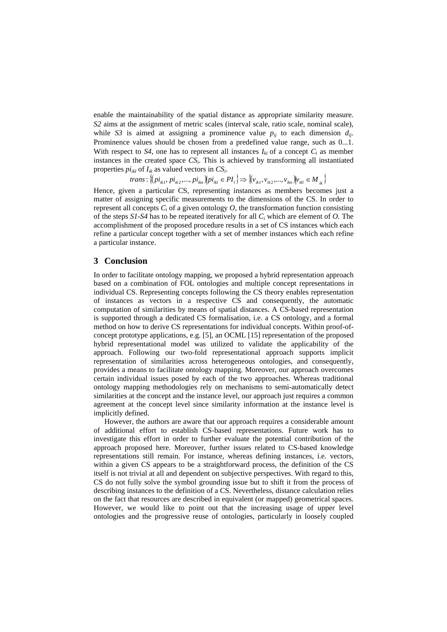enable the maintainability of the spatial distance as appropriate similarity measure. *S2* aims at the assignment of metric scales (interval scale, ratio scale, nominal scale), while *S3* is aimed at assigning a prominence value  $p_{ij}$  to each dimension  $d_{ij}$ . Prominence values should be chosen from a predefined value range, such as 0...1. With respect to  $S4$ , one has to represent all instances  $I_{ki}$  of a concept  $C_i$  as member instances in the created space  $CS_i$ . This is achieved by transforming all instantiated properties  $pi_{ikl}$  of  $I_{ik}$  as valued vectors in  $CS_i$ .

 ${ }_{t}^{n}$ *i*<sub>*trans*:  $\{(pi_{ik1}, p_{i_{ik2}},...,pi_{i_{ikn}}) | pi_{ikl} \in PI_{l}\} \Rightarrow \{(v_{ik1}, v_{ik2},...,v_{ikn}) | v_{ikl} \in M_{ik}\}$ </sub>

Hence, given a particular CS, representing instances as members becomes just a matter of assigning specific measurements to the dimensions of the CS. In order to represent all concepts  $C_i$  of a given ontology  $O$ , the transformation function consisting of the steps *S1-S4* has to be repeated iteratively for all *C*i which are element of *O.* The accomplishment of the proposed procedure results in a set of CS instances which each refine a particular concept together with a set of member instances which each refine a particular instance.

#### **3 Conclusion**

In order to facilitate ontology mapping, we proposed a hybrid representation approach based on a combination of FOL ontologies and multiple concept representations in individual CS. Representing concepts following the CS theory enables representation of instances as vectors in a respective CS and consequently, the automatic computation of similarities by means of spatial distances. A CS-based representation is supported through a dedicated CS formalisation, i.e. a CS ontology, and a formal method on how to derive CS representations for individual concepts. Within proof-ofconcept prototype applications, e.g. [5], an OCML [15] representation of the proposed hybrid representational model was utilized to validate the applicability of the approach. Following our two-fold representational approach supports implicit representation of similarities across heterogeneous ontologies, and consequently, provides a means to facilitate ontology mapping. Moreover, our approach overcomes certain individual issues posed by each of the two approaches. Whereas traditional ontology mapping methodologies rely on mechanisms to semi-automatically detect similarities at the concept and the instance level, our approach just requires a common agreement at the concept level since similarity information at the instance level is implicitly defined.

However, the authors are aware that our approach requires a considerable amount of additional effort to establish CS-based representations. Future work has to investigate this effort in order to further evaluate the potential contribution of the approach proposed here. Moreover, further issues related to CS-based knowledge representations still remain. For instance, whereas defining instances, i.e. vectors, within a given CS appears to be a straightforward process, the definition of the CS itself is not trivial at all and dependent on subjective perspectives. With regard to this, CS do not fully solve the symbol grounding issue but to shift it from the process of describing instances to the definition of a CS. Nevertheless, distance calculation relies on the fact that resources are described in equivalent (or mapped) geometrical spaces. However, we would like to point out that the increasing usage of upper level ontologies and the progressive reuse of ontologies, particularly in loosely coupled